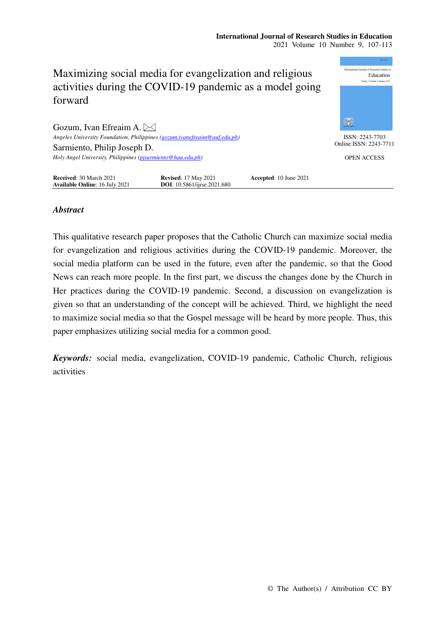## **International Journal of Research Studies in Education**  2021 Volume 10 Number 9, 107-113



## *Abstract*

This qualitative research paper proposes that the Catholic Church can maximize social media for evangelization and religious activities during the COVID-19 pandemic. Moreover, the social media platform can be used in the future, even after the pandemic, so that the Good News can reach more people. In the first part, we discuss the changes done by the Church in Her practices during the COVID-19 pandemic. Second, a discussion on evangelization is given so that an understanding of the concept will be achieved. Third, we highlight the need to maximize social media so that the Gospel message will be heard by more people. Thus, this paper emphasizes utilizing social media for a common good.

*Keywords:* social media, evangelization, COVID-19 pandemic, Catholic Church, religious activities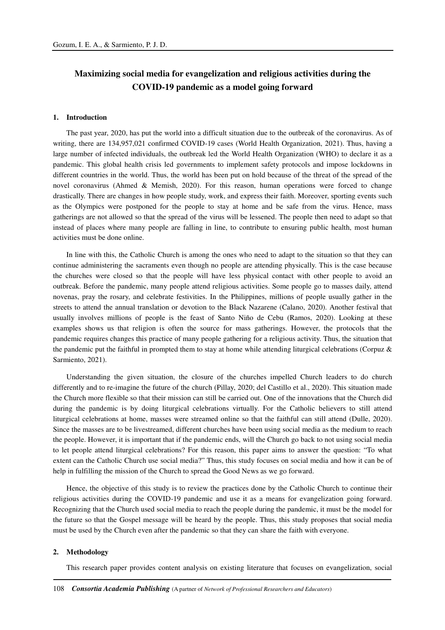# **Maximizing social media for evangelization and religious activities during the COVID-19 pandemic as a model going forward**

## **1. Introduction**

The past year, 2020, has put the world into a difficult situation due to the outbreak of the coronavirus. As of writing, there are 134,957,021 confirmed COVID-19 cases (World Health Organization, 2021). Thus, having a large number of infected individuals, the outbreak led the World Health Organization (WHO) to declare it as a pandemic. This global health crisis led governments to implement safety protocols and impose lockdowns in different countries in the world. Thus, the world has been put on hold because of the threat of the spread of the novel coronavirus (Ahmed & Memish, 2020). For this reason, human operations were forced to change drastically. There are changes in how people study, work, and express their faith. Moreover, sporting events such as the Olympics were postponed for the people to stay at home and be safe from the virus. Hence, mass gatherings are not allowed so that the spread of the virus will be lessened. The people then need to adapt so that instead of places where many people are falling in line, to contribute to ensuring public health, most human activities must be done online.

In line with this, the Catholic Church is among the ones who need to adapt to the situation so that they can continue administering the sacraments even though no people are attending physically. This is the case because the churches were closed so that the people will have less physical contact with other people to avoid an outbreak. Before the pandemic, many people attend religious activities. Some people go to masses daily, attend novenas, pray the rosary, and celebrate festivities. In the Philippines, millions of people usually gather in the streets to attend the annual translation or devotion to the Black Nazarene (Calano, 2020). Another festival that usually involves millions of people is the feast of Santo Niño de Cebu (Ramos, 2020). Looking at these examples shows us that religion is often the source for mass gatherings. However, the protocols that the pandemic requires changes this practice of many people gathering for a religious activity. Thus, the situation that the pandemic put the faithful in prompted them to stay at home while attending liturgical celebrations (Corpuz & Sarmiento, 2021).

Understanding the given situation, the closure of the churches impelled Church leaders to do church differently and to re-imagine the future of the church (Pillay, 2020; del Castillo et al., 2020). This situation made the Church more flexible so that their mission can still be carried out. One of the innovations that the Church did during the pandemic is by doing liturgical celebrations virtually. For the Catholic believers to still attend liturgical celebrations at home, masses were streamed online so that the faithful can still attend (Dulle, 2020). Since the masses are to be livestreamed, different churches have been using social media as the medium to reach the people. However, it is important that if the pandemic ends, will the Church go back to not using social media to let people attend liturgical celebrations? For this reason, this paper aims to answer the question: "To what extent can the Catholic Church use social media?" Thus, this study focuses on social media and how it can be of help in fulfilling the mission of the Church to spread the Good News as we go forward.

Hence, the objective of this study is to review the practices done by the Catholic Church to continue their religious activities during the COVID-19 pandemic and use it as a means for evangelization going forward. Recognizing that the Church used social media to reach the people during the pandemic, it must be the model for the future so that the Gospel message will be heard by the people. Thus, this study proposes that social media must be used by the Church even after the pandemic so that they can share the faith with everyone.

## **2. Methodology**

This research paper provides content analysis on existing literature that focuses on evangelization, social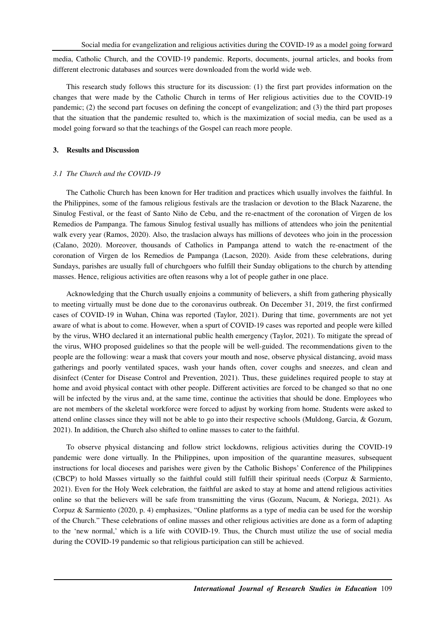media, Catholic Church, and the COVID-19 pandemic. Reports, documents, journal articles, and books from different electronic databases and sources were downloaded from the world wide web.

This research study follows this structure for its discussion: (1) the first part provides information on the changes that were made by the Catholic Church in terms of Her religious activities due to the COVID-19 pandemic; (2) the second part focuses on defining the concept of evangelization; and (3) the third part proposes that the situation that the pandemic resulted to, which is the maximization of social media, can be used as a model going forward so that the teachings of the Gospel can reach more people.

## **3. Results and Discussion**

#### *3.1 The Church and the COVID-19*

The Catholic Church has been known for Her tradition and practices which usually involves the faithful. In the Philippines, some of the famous religious festivals are the traslacion or devotion to the Black Nazarene, the Sinulog Festival, or the feast of Santo Niño de Cebu, and the re-enactment of the coronation of Virgen de los Remedios de Pampanga. The famous Sinulog festival usually has millions of attendees who join the penitential walk every year (Ramos, 2020). Also, the traslacion always has millions of devotees who join in the procession (Calano, 2020). Moreover, thousands of Catholics in Pampanga attend to watch the re-enactment of the coronation of Virgen de los Remedios de Pampanga (Lacson, 2020). Aside from these celebrations, during Sundays, parishes are usually full of churchgoers who fulfill their Sunday obligations to the church by attending masses. Hence, religious activities are often reasons why a lot of people gather in one place.

Acknowledging that the Church usually enjoins a community of believers, a shift from gathering physically to meeting virtually must be done due to the coronavirus outbreak. On December 31, 2019, the first confirmed cases of COVID-19 in Wuhan, China was reported (Taylor, 2021). During that time, governments are not yet aware of what is about to come. However, when a spurt of COVID-19 cases was reported and people were killed by the virus, WHO declared it an international public health emergency (Taylor, 2021). To mitigate the spread of the virus, WHO proposed guidelines so that the people will be well-guided. The recommendations given to the people are the following: wear a mask that covers your mouth and nose, observe physical distancing, avoid mass gatherings and poorly ventilated spaces, wash your hands often, cover coughs and sneezes, and clean and disinfect (Center for Disease Control and Prevention, 2021). Thus, these guidelines required people to stay at home and avoid physical contact with other people. Different activities are forced to be changed so that no one will be infected by the virus and, at the same time, continue the activities that should be done. Employees who are not members of the skeletal workforce were forced to adjust by working from home. Students were asked to attend online classes since they will not be able to go into their respective schools (Muldong, Garcia, & Gozum, 2021). In addition, the Church also shifted to online masses to cater to the faithful.

To observe physical distancing and follow strict lockdowns, religious activities during the COVID-19 pandemic were done virtually. In the Philippines, upon imposition of the quarantine measures, subsequent instructions for local dioceses and parishes were given by the Catholic Bishops' Conference of the Philippines (CBCP) to hold Masses virtually so the faithful could still fulfill their spiritual needs (Corpuz & Sarmiento, 2021). Even for the Holy Week celebration, the faithful are asked to stay at home and attend religious activities online so that the believers will be safe from transmitting the virus (Gozum, Nucum, & Noriega, 2021). As Corpuz & Sarmiento (2020, p. 4) emphasizes, "Online platforms as a type of media can be used for the worship of the Church." These celebrations of online masses and other religious activities are done as a form of adapting to the 'new normal,' which is a life with COVID-19. Thus, the Church must utilize the use of social media during the COVID-19 pandemic so that religious participation can still be achieved.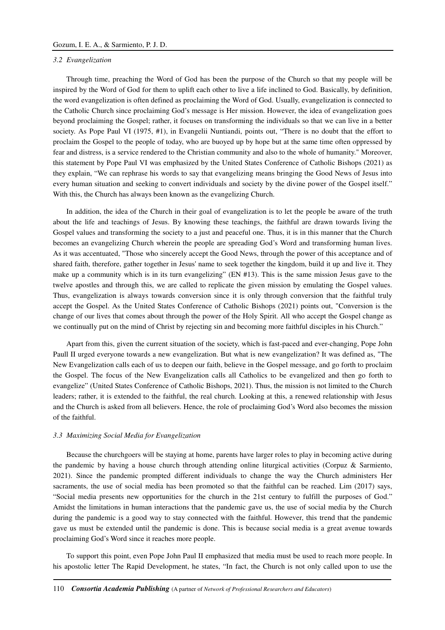#### *3.2 Evangelization*

Through time, preaching the Word of God has been the purpose of the Church so that my people will be inspired by the Word of God for them to uplift each other to live a life inclined to God. Basically, by definition, the word evangelization is often defined as proclaiming the Word of God. Usually, evangelization is connected to the Catholic Church since proclaiming God's message is Her mission. However, the idea of evangelization goes beyond proclaiming the Gospel; rather, it focuses on transforming the individuals so that we can live in a better society. As Pope Paul VI (1975, #1), in Evangelii Nuntiandi, points out, "There is no doubt that the effort to proclaim the Gospel to the people of today, who are buoyed up by hope but at the same time often oppressed by fear and distress, is a service rendered to the Christian community and also to the whole of humanity." Moreover, this statement by Pope Paul VI was emphasized by the United States Conference of Catholic Bishops (2021) as they explain, "We can rephrase his words to say that evangelizing means bringing the Good News of Jesus into every human situation and seeking to convert individuals and society by the divine power of the Gospel itself." With this, the Church has always been known as the evangelizing Church.

In addition, the idea of the Church in their goal of evangelization is to let the people be aware of the truth about the life and teachings of Jesus. By knowing these teachings, the faithful are drawn towards living the Gospel values and transforming the society to a just and peaceful one. Thus, it is in this manner that the Church becomes an evangelizing Church wherein the people are spreading God's Word and transforming human lives. As it was accentuated, "Those who sincerely accept the Good News, through the power of this acceptance and of shared faith, therefore, gather together in Jesus' name to seek together the kingdom, build it up and live it. They make up a community which is in its turn evangelizing" (EN #13). This is the same mission Jesus gave to the twelve apostles and through this, we are called to replicate the given mission by emulating the Gospel values. Thus, evangelization is always towards conversion since it is only through conversion that the faithful truly accept the Gospel. As the United States Conference of Catholic Bishops (2021) points out, "Conversion is the change of our lives that comes about through the power of the Holy Spirit. All who accept the Gospel change as we continually put on the mind of Christ by rejecting sin and becoming more faithful disciples in his Church."

Apart from this, given the current situation of the society, which is fast-paced and ever-changing, Pope John Paull II urged everyone towards a new evangelization. But what is new evangelization? It was defined as, "The New Evangelization calls each of us to deepen our faith, believe in the Gospel message, and go forth to proclaim the Gospel. The focus of the New Evangelization calls all Catholics to be evangelized and then go forth to evangelize" (United States Conference of Catholic Bishops, 2021). Thus, the mission is not limited to the Church leaders; rather, it is extended to the faithful, the real church. Looking at this, a renewed relationship with Jesus and the Church is asked from all believers. Hence, the role of proclaiming God's Word also becomes the mission of the faithful.

#### *3.3 Maximizing Social Media for Evangelization*

Because the churchgoers will be staying at home, parents have larger roles to play in becoming active during the pandemic by having a house church through attending online liturgical activities (Corpuz & Sarmiento, 2021). Since the pandemic prompted different individuals to change the way the Church administers Her sacraments, the use of social media has been promoted so that the faithful can be reached. Lim (2017) says, "Social media presents new opportunities for the church in the 21st century to fulfill the purposes of God." Amidst the limitations in human interactions that the pandemic gave us, the use of social media by the Church during the pandemic is a good way to stay connected with the faithful. However, this trend that the pandemic gave us must be extended until the pandemic is done. This is because social media is a great avenue towards proclaiming God's Word since it reaches more people.

To support this point, even Pope John Paul II emphasized that media must be used to reach more people. In his apostolic letter The Rapid Development, he states, "In fact, the Church is not only called upon to use the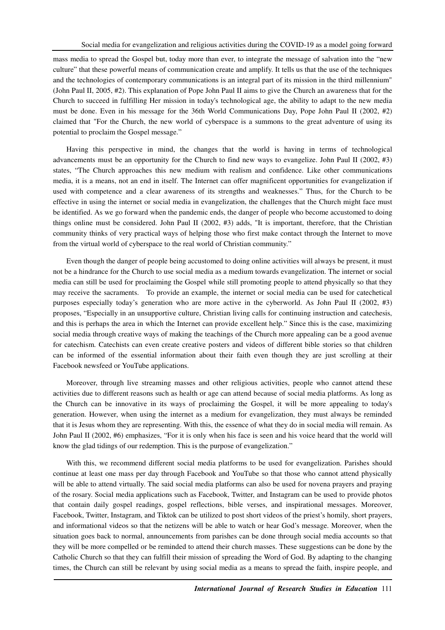mass media to spread the Gospel but, today more than ever, to integrate the message of salvation into the "new culture" that these powerful means of communication create and amplify. It tells us that the use of the techniques and the technologies of contemporary communications is an integral part of its mission in the third millennium" (John Paul II, 2005, #2). This explanation of Pope John Paul II aims to give the Church an awareness that for the Church to succeed in fulfilling Her mission in today's technological age, the ability to adapt to the new media must be done. Even in his message for the 36th World Communications Day, Pope John Paul II (2002, #2) claimed that "For the Church, the new world of cyberspace is a summons to the great adventure of using its potential to proclaim the Gospel message."

Having this perspective in mind, the changes that the world is having in terms of technological advancements must be an opportunity for the Church to find new ways to evangelize. John Paul II (2002, #3) states, "The Church approaches this new medium with realism and confidence. Like other communications media, it is a means, not an end in itself. The Internet can offer magnificent opportunities for evangelization if used with competence and a clear awareness of its strengths and weaknesses." Thus, for the Church to be effective in using the internet or social media in evangelization, the challenges that the Church might face must be identified. As we go forward when the pandemic ends, the danger of people who become accustomed to doing things online must be considered. John Paul II (2002, #3) adds, "It is important, therefore, that the Christian community thinks of very practical ways of helping those who first make contact through the Internet to move from the virtual world of cyberspace to the real world of Christian community."

Even though the danger of people being accustomed to doing online activities will always be present, it must not be a hindrance for the Church to use social media as a medium towards evangelization. The internet or social media can still be used for proclaiming the Gospel while still promoting people to attend physically so that they may receive the sacraments. To provide an example, the internet or social media can be used for catechetical purposes especially today's generation who are more active in the cyberworld. As John Paul II (2002, #3) proposes, "Especially in an unsupportive culture, Christian living calls for continuing instruction and catechesis, and this is perhaps the area in which the Internet can provide excellent help." Since this is the case, maximizing social media through creative ways of making the teachings of the Church more appealing can be a good avenue for catechism. Catechists can even create creative posters and videos of different bible stories so that children can be informed of the essential information about their faith even though they are just scrolling at their Facebook newsfeed or YouTube applications.

Moreover, through live streaming masses and other religious activities, people who cannot attend these activities due to different reasons such as health or age can attend because of social media platforms. As long as the Church can be innovative in its ways of proclaiming the Gospel, it will be more appealing to today's generation. However, when using the internet as a medium for evangelization, they must always be reminded that it is Jesus whom they are representing. With this, the essence of what they do in social media will remain. As John Paul II (2002, #6) emphasizes, "For it is only when his face is seen and his voice heard that the world will know the glad tidings of our redemption. This is the purpose of evangelization."

With this, we recommend different social media platforms to be used for evangelization. Parishes should continue at least one mass per day through Facebook and YouTube so that those who cannot attend physically will be able to attend virtually. The said social media platforms can also be used for novena prayers and praying of the rosary. Social media applications such as Facebook, Twitter, and Instagram can be used to provide photos that contain daily gospel readings, gospel reflections, bible verses, and inspirational messages. Moreover, Facebook, Twitter, Instagram, and Tiktok can be utilized to post short videos of the priest's homily, short prayers, and informational videos so that the netizens will be able to watch or hear God's message. Moreover, when the situation goes back to normal, announcements from parishes can be done through social media accounts so that they will be more compelled or be reminded to attend their church masses. These suggestions can be done by the Catholic Church so that they can fulfill their mission of spreading the Word of God. By adapting to the changing times, the Church can still be relevant by using social media as a means to spread the faith, inspire people, and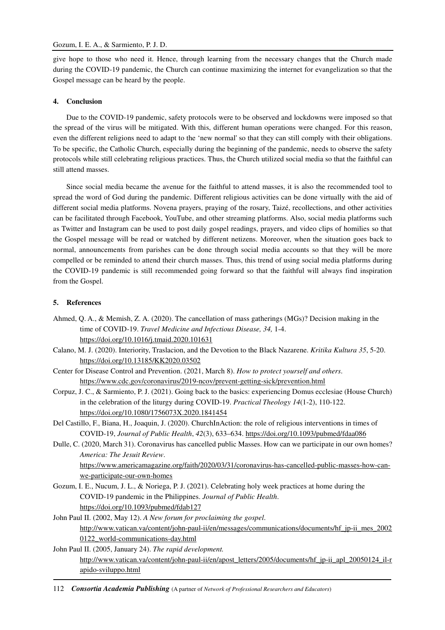give hope to those who need it. Hence, through learning from the necessary changes that the Church made during the COVID-19 pandemic, the Church can continue maximizing the internet for evangelization so that the Gospel message can be heard by the people.

## **4. Conclusion**

Due to the COVID-19 pandemic, safety protocols were to be observed and lockdowns were imposed so that the spread of the virus will be mitigated. With this, different human operations were changed. For this reason, even the different religions need to adapt to the 'new normal' so that they can still comply with their obligations. To be specific, the Catholic Church, especially during the beginning of the pandemic, needs to observe the safety protocols while still celebrating religious practices. Thus, the Church utilized social media so that the faithful can still attend masses.

Since social media became the avenue for the faithful to attend masses, it is also the recommended tool to spread the word of God during the pandemic. Different religious activities can be done virtually with the aid of different social media platforms. Novena prayers, praying of the rosary, Taizé, recollections, and other activities can be facilitated through Facebook, YouTube, and other streaming platforms. Also, social media platforms such as Twitter and Instagram can be used to post daily gospel readings, prayers, and video clips of homilies so that the Gospel message will be read or watched by different netizens. Moreover, when the situation goes back to normal, announcements from parishes can be done through social media accounts so that they will be more compelled or be reminded to attend their church masses. Thus, this trend of using social media platforms during the COVID-19 pandemic is still recommended going forward so that the faithful will always find inspiration from the Gospel.

## **5. References**

- Ahmed, Q. A., & Memish, Z. A. (2020). The cancellation of mass gatherings (MGs)? Decision making in the time of COVID-19. *Travel Medicine and Infectious Disease, 34,* 1-4. https://doi.org/10.1016/j.tmaid.2020.101631
- Calano, M. J. (2020). Interiority, Traslacion, and the Devotion to the Black Nazarene. *Kritika Kultura 35*, 5-20. https://doi.org/10.13185/KK2020.03502

Center for Disease Control and Prevention. (2021, March 8). *How to protect yourself and others*. https://www.cdc.gov/coronavirus/2019-ncov/prevent-getting-sick/prevention.html

- Corpuz, J. C., & Sarmiento, P. J. (2021). Going back to the basics: experiencing Domus ecclesiae (House Church) in the celebration of the liturgy during COVID-19. *Practical Theology 14*(1-2), 110-122. https://doi.org/10.1080/1756073X.2020.1841454
- Del Castillo, F., Biana, H., Joaquin, J. (2020). ChurchInAction: the role of religious interventions in times of COVID-19, *Journal of Public Health*, *42*(3), 633–634. https://doi.org/10.1093/pubmed/fdaa086
- Dulle, C. (2020, March 31). Coronavirus has cancelled public Masses. How can we participate in our own homes? *America: The Jesuit Review*. https://www.americamagazine.org/faith/2020/03/31/coronavirus-has-cancelled-public-masses-how-canwe-participate-our-own-homes
- Gozum, I. E., Nucum, J. L., & Noriega, P. J. (2021). Celebrating holy week practices at home during the COVID-19 pandemic in the Philippines. *Journal of Public Health*. https://doi.org/10.1093/pubmed/fdab127
- John Paul II. (2002, May 12). *A New forum for proclaiming the gospel*. http://www.vatican.va/content/john-paul-ii/en/messages/communications/documents/hf\_jp-ii\_mes\_2002 0122\_world-communications-day.html
- John Paul II. (2005, January 24). *The rapid development.* http://www.vatican.va/content/john-paul-ii/en/apost\_letters/2005/documents/hf\_jp-ii\_apl\_20050124\_il-r apido-sviluppo.html